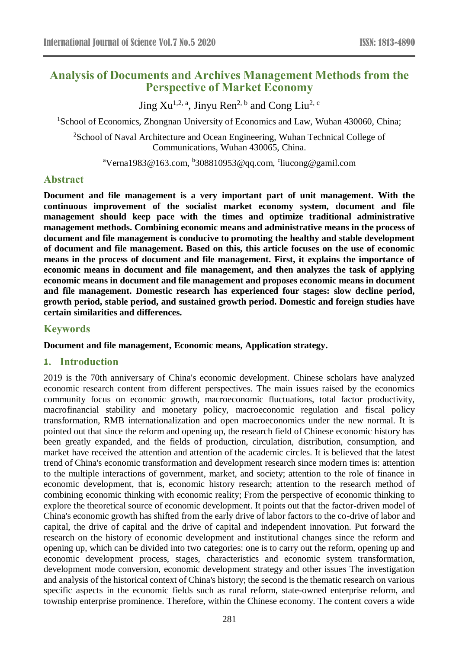# **Analysis of Documents and Archives Management Methods from the Perspective of Market Economy**

Jing  $Xu^{1,2, a}$ , Jinyu Ren<sup>2, b</sup> and Cong Liu<sup>2, c</sup>

<sup>1</sup>School of Economics, Zhongnan University of Economics and Law, Wuhan 430060, China;

<sup>2</sup>School of Naval Architecture and Ocean Engineering, Wuhan Technical College of Communications, Wuhan 430065, China.

<sup>a</sup>Verna1983@163.com, <sup>b</sup>308810953@qq.com, <sup>c</sup>liucong@gamil.com

#### **Abstract**

**Document and file management is a very important part of unit management. With the continuous improvement of the socialist market economy system, document and file management should keep pace with the times and optimize traditional administrative management methods. Combining economic means and administrative means in the process of document and file management is conducive to promoting the healthy and stable development of document and file management. Based on this, this article focuses on the use of economic means in the process of document and file management. First, it explains the importance of economic means in document and file management, and then analyzes the task of applying economic means in document and file management and proposes economic means in document and file management. Domestic research has experienced four stages: slow decline period, growth period, stable period, and sustained growth period. Domestic and foreign studies have certain similarities and differences.**

### **Keywords**

#### **Document and file management, Economic means, Application strategy.**

#### **1. Introduction**

2019 is the 70th anniversary of China's economic development. Chinese scholars have analyzed economic research content from different perspectives. The main issues raised by the economics community focus on economic growth, macroeconomic fluctuations, total factor productivity, macrofinancial stability and monetary policy, macroeconomic regulation and fiscal policy transformation, RMB internationalization and open macroeconomics under the new normal. It is pointed out that since the reform and opening up, the research field of Chinese economic history has been greatly expanded, and the fields of production, circulation, distribution, consumption, and market have received the attention and attention of the academic circles. It is believed that the latest trend of China's economic transformation and development research since modern times is: attention to the multiple interactions of government, market, and society; attention to the role of finance in economic development, that is, economic history research; attention to the research method of combining economic thinking with economic reality; From the perspective of economic thinking to explore the theoretical source of economic development. It points out that the factor-driven model of China's economic growth has shifted from the early drive of labor factors to the co-drive of labor and capital, the drive of capital and the drive of capital and independent innovation. Put forward the research on the history of economic development and institutional changes since the reform and opening up, which can be divided into two categories: one is to carry out the reform, opening up and economic development process, stages, characteristics and economic system transformation, development mode conversion, economic development strategy and other issues The investigation and analysis of the historical context of China's history; the second is the thematic research on various specific aspects in the economic fields such as rural reform, state-owned enterprise reform, and township enterprise prominence. Therefore, within the Chinese economy. The content covers a wide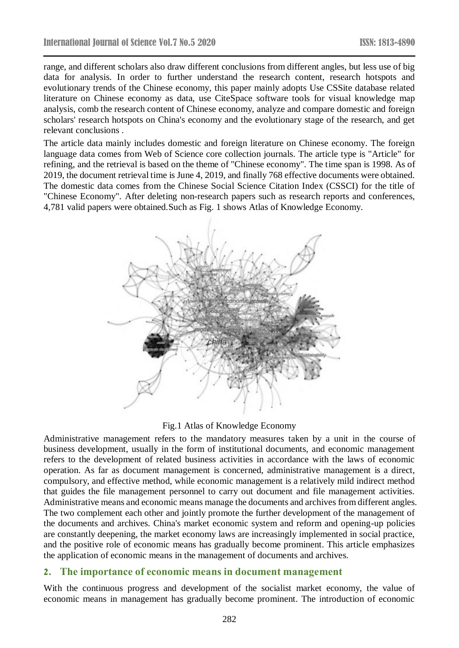range, and different scholars also draw different conclusions from different angles, but less use of big data for analysis. In order to further understand the research content, research hotspots and evolutionary trends of the Chinese economy, this paper mainly adopts Use CSSite database related literature on Chinese economy as data, use CiteSpace software tools for visual knowledge map analysis, comb the research content of Chinese economy, analyze and compare domestic and foreign scholars' research hotspots on China's economy and the evolutionary stage of the research, and get relevant conclusions .

The article data mainly includes domestic and foreign literature on Chinese economy. The foreign language data comes from Web of Science core collection journals. The article type is "Article" for refining, and the retrieval is based on the theme of "Chinese economy". The time span is 1998. As of 2019, the document retrieval time is June 4, 2019, and finally 768 effective documents were obtained. The domestic data comes from the Chinese Social Science Citation Index (CSSCI) for the title of "Chinese Economy". After deleting non-research papers such as research reports and conferences, 4,781 valid papers were obtained.Such as Fig. 1 shows Atlas of Knowledge Economy.



Fig.1 Atlas of Knowledge Economy

Administrative management refers to the mandatory measures taken by a unit in the course of business development, usually in the form of institutional documents, and economic management refers to the development of related business activities in accordance with the laws of economic operation. As far as document management is concerned, administrative management is a direct, compulsory, and effective method, while economic management is a relatively mild indirect method that guides the file management personnel to carry out document and file management activities. Administrative means and economic means manage the documents and archives from different angles. The two complement each other and jointly promote the further development of the management of the documents and archives. China's market economic system and reform and opening-up policies are constantly deepening, the market economy laws are increasingly implemented in social practice, and the positive role of economic means has gradually become prominent. This article emphasizes the application of economic means in the management of documents and archives.

# **2. The importance of economic means in document management**

With the continuous progress and development of the socialist market economy, the value of economic means in management has gradually become prominent. The introduction of economic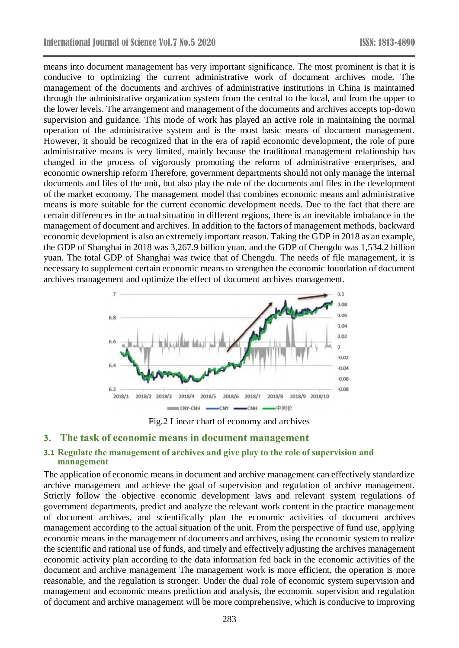means into document management has very important significance. The most prominent is that it is conducive to optimizing the current administrative work of document archives mode. The management of the documents and archives of administrative institutions in China is maintained through the administrative organization system from the central to the local, and from the upper to the lower levels. The arrangement and management of the documents and archives accepts top-down supervision and guidance. This mode of work has played an active role in maintaining the normal operation of the administrative system and is the most basic means of document management. However, it should be recognized that in the era of rapid economic development, the role of pure administrative means is very limited, mainly because the traditional management relationship has changed in the process of vigorously promoting the reform of administrative enterprises, and economic ownership reform Therefore, government departments should not only manage the internal documents and files of the unit, but also play the role of the documents and files in the development of the market economy. The management model that combines economic means and administrative means is more suitable for the current economic development needs. Due to the fact that there are certain differences in the actual situation in different regions, there is an inevitable imbalance in the management of document and archives. In addition to the factors of management methods, backward economic development is also an extremely important reason. Taking the GDP in 2018 as an example, the GDP of Shanghai in 2018 was 3,267.9 billion yuan, and the GDP of Chengdu was 1,534.2 billion yuan. The total GDP of Shanghai was twice that of Chengdu. The needs of file management, it is necessary to supplement certain economic means to strengthen the economic foundation of document archives management and optimize the effect of document archives management.



Fig.2 Linear chart of economy and archives

#### **3. The task of economic means in document management**

### **3.1 Regulate the management of archives and give play to the role of supervision and management**

The application of economic means in document and archive management can effectively standardize archive management and achieve the goal of supervision and regulation of archive management. Strictly follow the objective economic development laws and relevant system regulations of government departments, predict and analyze the relevant work content in the practice management of document archives, and scientifically plan the economic activities of document archives management according to the actual situation of the unit. From the perspective of fund use, applying economic means in the management of documents and archives, using the economic system to realize the scientific and rational use of funds, and timely and effectively adjusting the archives management economic activity plan according to the data information fed back in the economic activities of the document and archive management The management work is more efficient, the operation is more reasonable, and the regulation is stronger. Under the dual role of economic system supervision and management and economic means prediction and analysis, the economic supervision and regulation of document and archive management will be more comprehensive, which is conducive to improving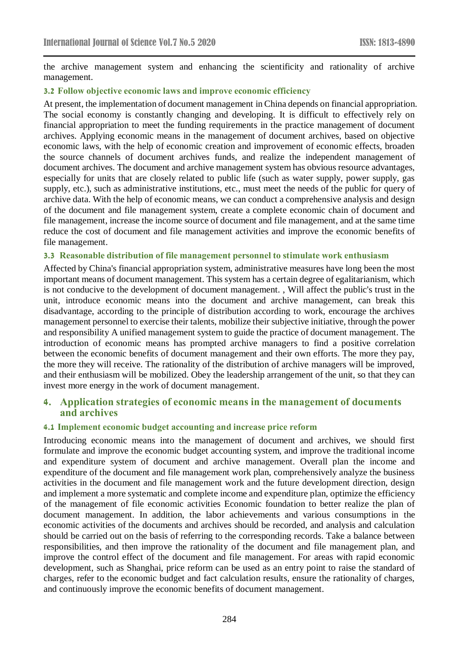the archive management system and enhancing the scientificity and rationality of archive management.

## **3.2 Follow objective economic laws and improve economic efficiency**

At present, the implementation of document management in China depends on financial appropriation. The social economy is constantly changing and developing. It is difficult to effectively rely on financial appropriation to meet the funding requirements in the practice management of document archives. Applying economic means in the management of document archives, based on objective economic laws, with the help of economic creation and improvement of economic effects, broaden the source channels of document archives funds, and realize the independent management of document archives. The document and archive management system has obvious resource advantages, especially for units that are closely related to public life (such as water supply, power supply, gas supply, etc.), such as administrative institutions, etc., must meet the needs of the public for query of archive data. With the help of economic means, we can conduct a comprehensive analysis and design of the document and file management system, create a complete economic chain of document and file management, increase the income source of document and file management, and at the same time reduce the cost of document and file management activities and improve the economic benefits of file management.

### **3.3 Reasonable distribution of file management personnel to stimulate work enthusiasm**

Affected by China's financial appropriation system, administrative measures have long been the most important means of document management. This system has a certain degree of egalitarianism, which is not conducive to the development of document management. , Will affect the public's trust in the unit, introduce economic means into the document and archive management, can break this disadvantage, according to the principle of distribution according to work, encourage the archives management personnel to exercise their talents, mobilize their subjective initiative, through the power and responsibility A unified management system to guide the practice of document management. The introduction of economic means has prompted archive managers to find a positive correlation between the economic benefits of document management and their own efforts. The more they pay, the more they will receive. The rationality of the distribution of archive managers will be improved, and their enthusiasm will be mobilized. Obey the leadership arrangement of the unit, so that they can invest more energy in the work of document management.

## **4. Application strategies of economic means in the management of documents and archives**

### **4.1 Implement economic budget accounting and increase price reform**

Introducing economic means into the management of document and archives, we should first formulate and improve the economic budget accounting system, and improve the traditional income and expenditure system of document and archive management. Overall plan the income and expenditure of the document and file management work plan, comprehensively analyze the business activities in the document and file management work and the future development direction, design and implement a more systematic and complete income and expenditure plan, optimize the efficiency of the management of file economic activities Economic foundation to better realize the plan of document management. In addition, the labor achievements and various consumptions in the economic activities of the documents and archives should be recorded, and analysis and calculation should be carried out on the basis of referring to the corresponding records. Take a balance between responsibilities, and then improve the rationality of the document and file management plan, and improve the control effect of the document and file management. For areas with rapid economic development, such as Shanghai, price reform can be used as an entry point to raise the standard of charges, refer to the economic budget and fact calculation results, ensure the rationality of charges, and continuously improve the economic benefits of document management.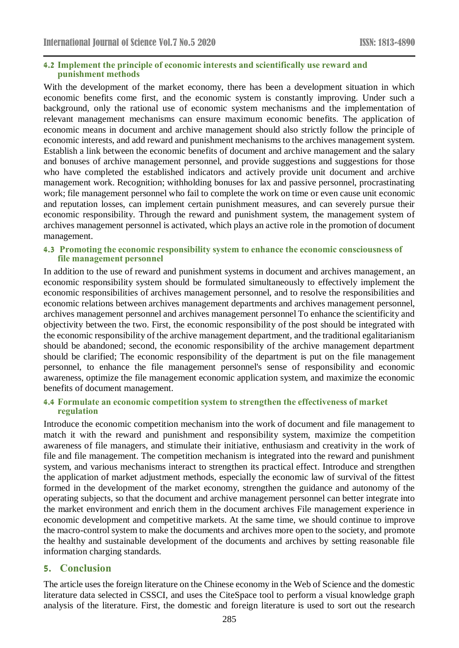#### **4.2 Implement the principle of economic interests and scientifically use reward and punishment methods**

With the development of the market economy, there has been a development situation in which economic benefits come first, and the economic system is constantly improving. Under such a background, only the rational use of economic system mechanisms and the implementation of relevant management mechanisms can ensure maximum economic benefits. The application of economic means in document and archive management should also strictly follow the principle of economic interests, and add reward and punishment mechanisms to the archives management system. Establish a link between the economic benefits of document and archive management and the salary and bonuses of archive management personnel, and provide suggestions and suggestions for those who have completed the established indicators and actively provide unit document and archive management work. Recognition; withholding bonuses for lax and passive personnel, procrastinating work; file management personnel who fail to complete the work on time or even cause unit economic and reputation losses, can implement certain punishment measures, and can severely pursue their economic responsibility. Through the reward and punishment system, the management system of archives management personnel is activated, which plays an active role in the promotion of document management.

## **4.3 Promoting the economic responsibility system to enhance the economic consciousness of file management personnel**

In addition to the use of reward and punishment systems in document and archives management, an economic responsibility system should be formulated simultaneously to effectively implement the economic responsibilities of archives management personnel, and to resolve the responsibilities and economic relations between archives management departments and archives management personnel, archives management personnel and archives management personnel To enhance the scientificity and objectivity between the two. First, the economic responsibility of the post should be integrated with the economic responsibility of the archive management department, and the traditional egalitarianism should be abandoned; second, the economic responsibility of the archive management department should be clarified; The economic responsibility of the department is put on the file management personnel, to enhance the file management personnel's sense of responsibility and economic awareness, optimize the file management economic application system, and maximize the economic benefits of document management.

#### **4.4 Formulate an economic competition system to strengthen the effectiveness of market regulation**

Introduce the economic competition mechanism into the work of document and file management to match it with the reward and punishment and responsibility system, maximize the competition awareness of file managers, and stimulate their initiative, enthusiasm and creativity in the work of file and file management. The competition mechanism is integrated into the reward and punishment system, and various mechanisms interact to strengthen its practical effect. Introduce and strengthen the application of market adjustment methods, especially the economic law of survival of the fittest formed in the development of the market economy, strengthen the guidance and autonomy of the operating subjects, so that the document and archive management personnel can better integrate into the market environment and enrich them in the document archives File management experience in economic development and competitive markets. At the same time, we should continue to improve the macro-control system to make the documents and archives more open to the society, and promote the healthy and sustainable development of the documents and archives by setting reasonable file information charging standards.

## **5. Conclusion**

The article uses the foreign literature on the Chinese economy in the Web of Science and the domestic literature data selected in CSSCI, and uses the CiteSpace tool to perform a visual knowledge graph analysis of the literature. First, the domestic and foreign literature is used to sort out the research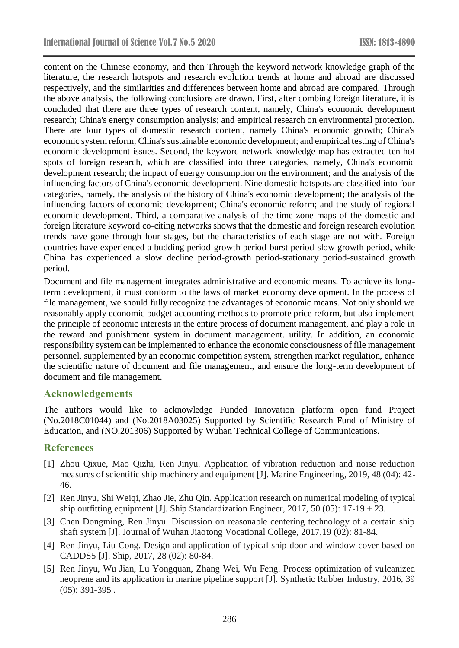content on the Chinese economy, and then Through the keyword network knowledge graph of the literature, the research hotspots and research evolution trends at home and abroad are discussed respectively, and the similarities and differences between home and abroad are compared. Through the above analysis, the following conclusions are drawn. First, after combing foreign literature, it is concluded that there are three types of research content, namely, China's economic development research; China's energy consumption analysis; and empirical research on environmental protection. There are four types of domestic research content, namely China's economic growth; China's economic system reform; China's sustainable economic development; and empirical testing of China's economic development issues. Second, the keyword network knowledge map has extracted ten hot spots of foreign research, which are classified into three categories, namely, China's economic development research; the impact of energy consumption on the environment; and the analysis of the influencing factors of China's economic development. Nine domestic hotspots are classified into four categories, namely, the analysis of the history of China's economic development; the analysis of the influencing factors of economic development; China's economic reform; and the study of regional economic development. Third, a comparative analysis of the time zone maps of the domestic and foreign literature keyword co-citing networks shows that the domestic and foreign research evolution trends have gone through four stages, but the characteristics of each stage are not with. Foreign countries have experienced a budding period-growth period-burst period-slow growth period, while China has experienced a slow decline period-growth period-stationary period-sustained growth period.

Document and file management integrates administrative and economic means. To achieve its longterm development, it must conform to the laws of market economy development. In the process of file management, we should fully recognize the advantages of economic means. Not only should we reasonably apply economic budget accounting methods to promote price reform, but also implement the principle of economic interests in the entire process of document management, and play a role in the reward and punishment system in document management. utility. In addition, an economic responsibility system can be implemented to enhance the economic consciousness of file management personnel, supplemented by an economic competition system, strengthen market regulation, enhance the scientific nature of document and file management, and ensure the long-term development of document and file management.

## **Acknowledgements**

The authors would like to acknowledge Funded Innovation platform open fund Project (No.2018C01044) and (No.2018A03025) Supported by Scientific Research Fund of Ministry of Education, and (NO.201306) Supported by Wuhan Technical College of Communications.

## **References**

- [1] Zhou Qixue, Mao Qizhi, Ren Jinyu. Application of vibration reduction and noise reduction measures of scientific ship machinery and equipment [J]. Marine Engineering, 2019, 48 (04): 42- 46.
- [2] Ren Jinyu, Shi Weiqi, Zhao Jie, Zhu Qin. Application research on numerical modeling of typical ship outfitting equipment [J]. Ship Standardization Engineer,  $2017, 50$  (05):  $17-19+23$ .
- [3] Chen Dongming, Ren Jinyu. Discussion on reasonable centering technology of a certain ship shaft system [J]. Journal of Wuhan Jiaotong Vocational College, 2017,19 (02): 81-84.
- [4] Ren Jinyu, Liu Cong. Design and application of typical ship door and window cover based on CADDS5 [J]. Ship, 2017, 28 (02): 80-84.
- [5] Ren Jinyu, Wu Jian, Lu Yongquan, Zhang Wei, Wu Feng. Process optimization of vulcanized neoprene and its application in marine pipeline support [J]. Synthetic Rubber Industry, 2016, 39 (05): 391-395 .